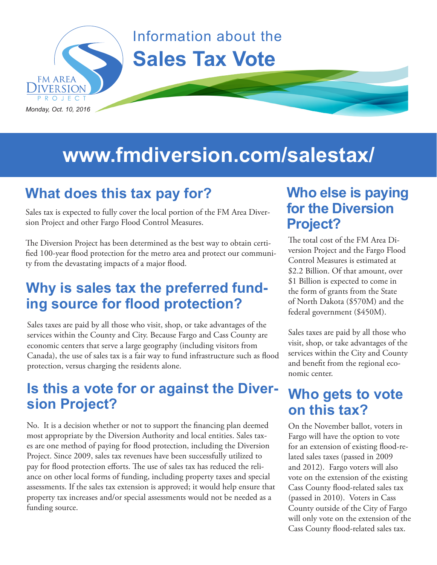

# **www.fmdiversion.com/salestax/**

### **What does this tax pay for?**

Sales tax is expected to fully cover the local portion of the FM Area Diversion Project and other Fargo Flood Control Measures.

The Diversion Project has been determined as the best way to obtain certified 100-year flood protection for the metro area and protect our community from the devastating impacts of a major flood.

#### **Why is sales tax the preferred funding source for flood protection?**

Sales taxes are paid by all those who visit, shop, or take advantages of the services within the County and City. Because Fargo and Cass County are economic centers that serve a large geography (including visitors from Canada), the use of sales tax is a fair way to fund infrastructure such as flood protection, versus charging the residents alone.

#### **Is this a vote for or against the Diversion Project?**

No. It is a decision whether or not to support the financing plan deemed most appropriate by the Diversion Authority and local entities. Sales taxes are one method of paying for flood protection, including the Diversion Project. Since 2009, sales tax revenues have been successfully utilized to pay for flood protection efforts. The use of sales tax has reduced the reliance on other local forms of funding, including property taxes and special assessments. If the sales tax extension is approved; it would help ensure that property tax increases and/or special assessments would not be needed as a funding source.

#### **Who else is paying for the Diversion Project?**

The total cost of the FM Area Diversion Project and the Fargo Flood Control Measures is estimated at \$2.2 Billion. Of that amount, over \$1 Billion is expected to come in the form of grants from the State of North Dakota (\$570M) and the federal government (\$450M).

Sales taxes are paid by all those who visit, shop, or take advantages of the services within the City and County and benefit from the regional economic center.

#### **Who gets to vote on this tax?**

On the November ballot, voters in Fargo will have the option to vote for an extension of existing flood-related sales taxes (passed in 2009 and 2012). Fargo voters will also vote on the extension of the existing Cass County flood-related sales tax (passed in 2010). Voters in Cass County outside of the City of Fargo will only vote on the extension of the Cass County flood-related sales tax.